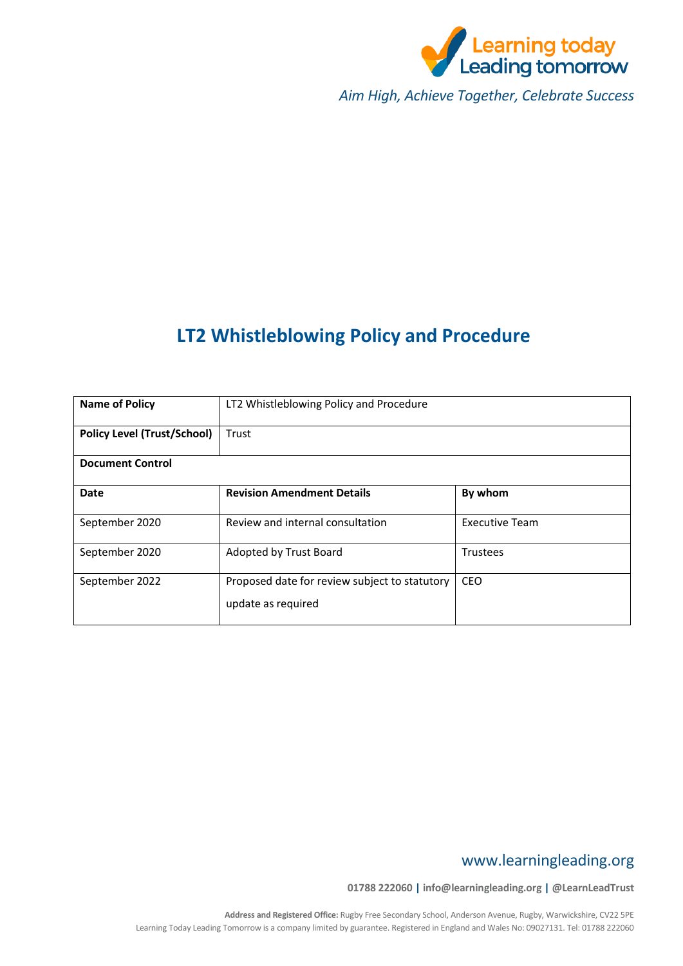

*Aim High, Achieve Together, Celebrate Success*

# **LT2 Whistleblowing Policy and Procedure**

| <b>Name of Policy</b>              | LT2 Whistleblowing Policy and Procedure                             |                |  |
|------------------------------------|---------------------------------------------------------------------|----------------|--|
| <b>Policy Level (Trust/School)</b> | Trust                                                               |                |  |
| <b>Document Control</b>            |                                                                     |                |  |
| Date                               | <b>Revision Amendment Details</b>                                   | By whom        |  |
| September 2020                     | Review and internal consultation                                    | Executive Team |  |
| September 2020                     | Adopted by Trust Board                                              | Trustees       |  |
| September 2022                     | Proposed date for review subject to statutory<br>update as required | <b>CEO</b>     |  |

# www.learningleading.org

**01788 222060 | info@learningleading.org | @LearnLeadTrust**

**Address and Registered Office:** Rugby Free Secondary School, Anderson Avenue, Rugby, Warwickshire, CV22 5PE Learning Today Leading Tomorrow is a company limited by guarantee. Registered in England and Wales No: 09027131. Tel: 01788 222060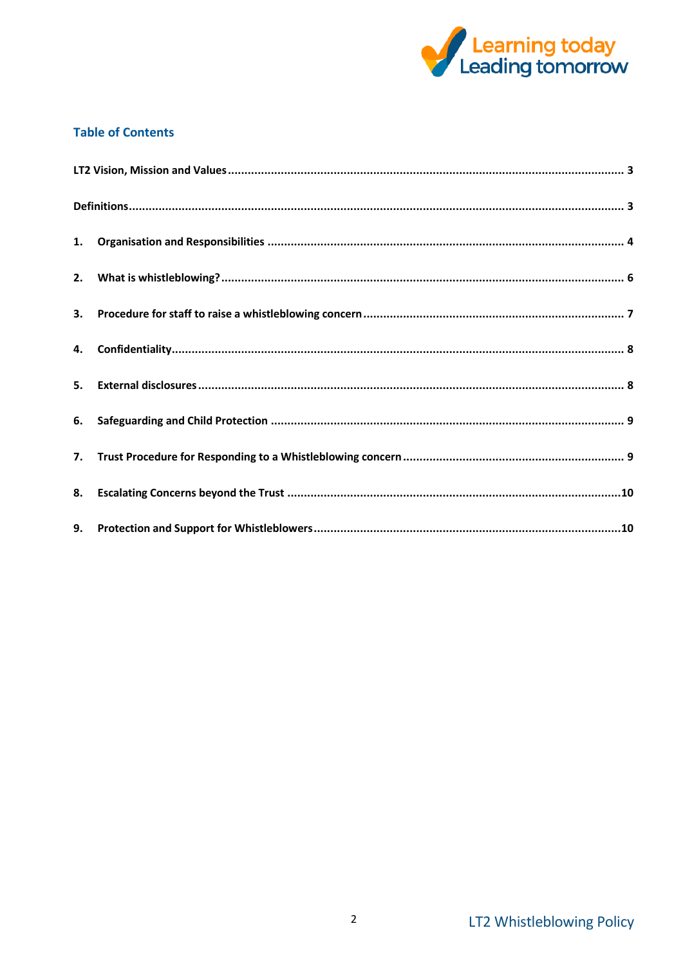

# **Table of Contents**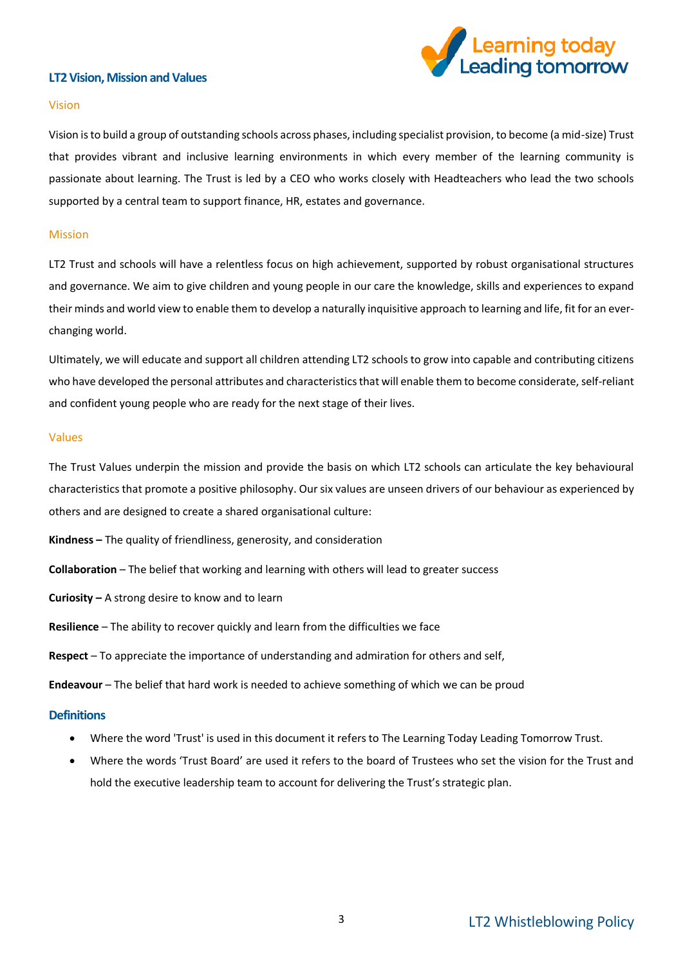# <span id="page-2-0"></span>**LT2 Vision, Mission and Values**



#### Vision

Vision is to build a group of outstanding schools across phases, including specialist provision, to become (a mid-size) Trust that provides vibrant and inclusive learning environments in which every member of the learning community is passionate about learning. The Trust is led by a CEO who works closely with Headteachers who lead the two schools supported by a central team to support finance, HR, estates and governance.

#### Mission

LT2 Trust and schools will have a relentless focus on high achievement, supported by robust organisational structures and governance. We aim to give children and young people in our care the knowledge, skills and experiences to expand their minds and world view to enable them to develop a naturally inquisitive approach to learning and life, fit for an everchanging world.

Ultimately, we will educate and support all children attending LT2 schools to grow into capable and contributing citizens who have developed the personal attributes and characteristics that will enable them to become considerate, self-reliant and confident young people who are ready for the next stage of their lives.

#### Values

The Trust Values underpin the mission and provide the basis on which LT2 schools can articulate the key behavioural characteristics that promote a positive philosophy. Our six values are unseen drivers of our behaviour as experienced by others and are designed to create a shared organisational culture:

**Kindness –** The quality of friendliness, generosity, and consideration

**Collaboration** – The belief that working and learning with others will lead to greater success

**Curiosity –** A strong desire to know and to learn

**Resilience** – The ability to recover quickly and learn from the difficulties we face

**Respect** – To appreciate the importance of understanding and admiration for others and self,

**Endeavour** – The belief that hard work is needed to achieve something of which we can be proud

### <span id="page-2-1"></span>**Definitions**

- Where the word 'Trust' is used in this document it refers to The Learning Today Leading Tomorrow Trust.
- Where the words 'Trust Board' are used it refers to the board of Trustees who set the vision for the Trust and hold the executive leadership team to account for delivering the Trust's strategic plan.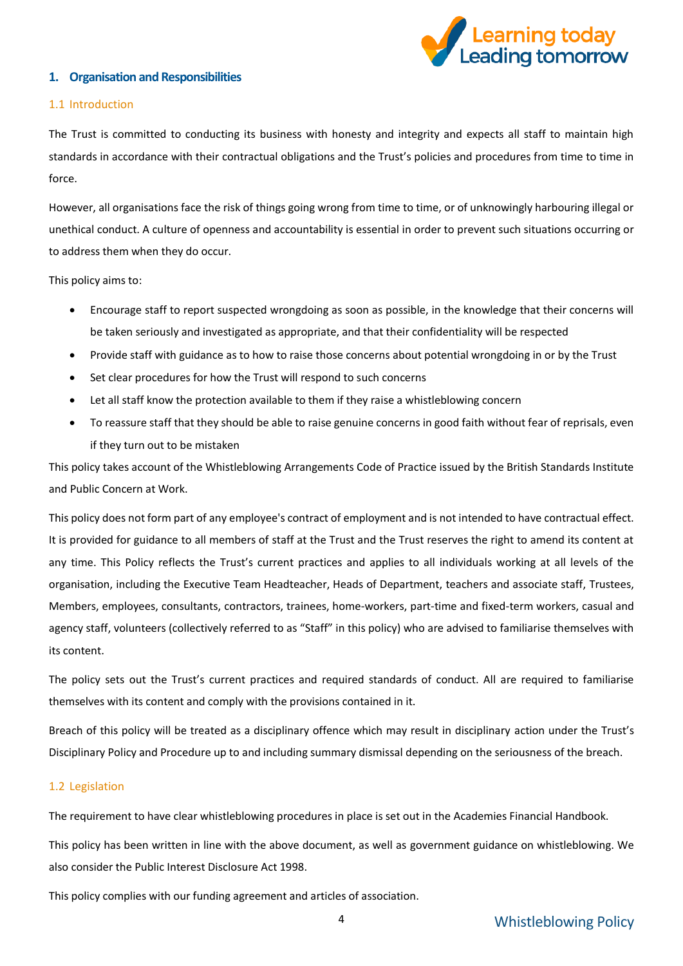

# <span id="page-3-0"></span>**1. Organisation and Responsibilities**

#### 1.1 Introduction

The Trust is committed to conducting its business with honesty and integrity and expects all staff to maintain high standards in accordance with their contractual obligations and the Trust's policies and procedures from time to time in force.

However, all organisations face the risk of things going wrong from time to time, or of unknowingly harbouring illegal or unethical conduct. A culture of openness and accountability is essential in order to prevent such situations occurring or to address them when they do occur.

This policy aims to:

- Encourage staff to report suspected wrongdoing as soon as possible, in the knowledge that their concerns will be taken seriously and investigated as appropriate, and that their confidentiality will be respected
- Provide staff with guidance as to how to raise those concerns about potential wrongdoing in or by the Trust
- Set clear procedures for how the Trust will respond to such concerns
- Let all staff know the protection available to them if they raise a whistleblowing concern
- To reassure staff that they should be able to raise genuine concerns in good faith without fear of reprisals, even if they turn out to be mistaken

This policy takes account of the Whistleblowing Arrangements Code of Practice issued by the British Standards Institute and Public Concern at Work.

This policy does not form part of any employee's contract of employment and is not intended to have contractual effect. It is provided for guidance to all members of staff at the Trust and the Trust reserves the right to amend its content at any time. This Policy reflects the Trust's current practices and applies to all individuals working at all levels of the organisation, including the Executive Team Headteacher, Heads of Department, teachers and associate staff, Trustees, Members, employees, consultants, contractors, trainees, home-workers, part-time and fixed-term workers, casual and agency staff, volunteers (collectively referred to as "Staff" in this policy) who are advised to familiarise themselves with its content.

The policy sets out the Trust's current practices and required standards of conduct. All are required to familiarise themselves with its content and comply with the provisions contained in it.

Breach of this policy will be treated as a disciplinary offence which may result in disciplinary action under the Trust's Disciplinary Policy and Procedure up to and including summary dismissal depending on the seriousness of the breach.

# 1.2 Legislation

The requirement to have clear whistleblowing procedures in place is set out in th[e Academies Financial Handbook.](https://www.gov.uk/government/publications/academies-financial-handbook)

This policy has been written in line with the above document, as well as [government guidance on whistleblowing.](https://www.gov.uk/whistleblowing) We also consider th[e Public Interest Disclosure Act 1998.](https://www.legislation.gov.uk/ukpga/1998/23/contents)

This policy complies with our funding agreement and articles of association.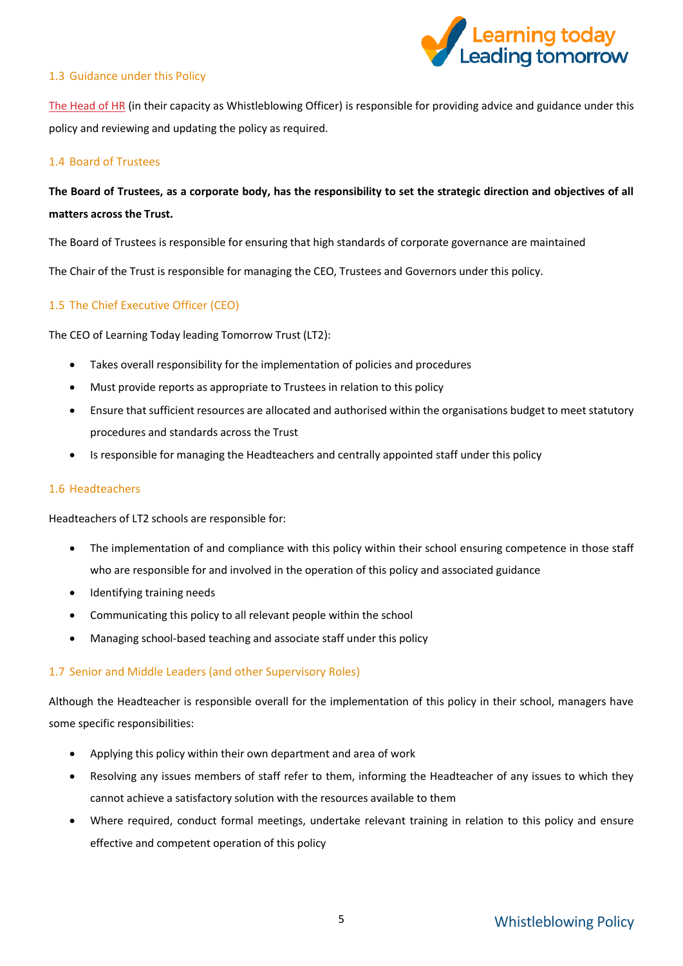

## 1.3 Guidance under this Policy

[The Head of HR](mailto:tillie.newnham@learningleading.org) (in their capacity as Whistleblowing Officer) is responsible for providing advice and guidance under this policy and reviewing and updating the policy as required.

### 1.4 Board of Trustees

# **The Board of Trustees, as a corporate body, has the responsibility to set the strategic direction and objectives of all matters across the Trust.**

The Board of Trustees is responsible for ensuring that high standards of corporate governance are maintained

The Chair of the Trust is responsible for managing the CEO, Trustees and Governors under this policy.

# 1.5 The Chief Executive Officer (CEO)

The CEO of Learning Today leading Tomorrow Trust (LT2):

- Takes overall responsibility for the implementation of policies and procedures
- Must provide reports as appropriate to Trustees in relation to this policy
- Ensure that sufficient resources are allocated and authorised within the organisations budget to meet statutory procedures and standards across the Trust
- Is responsible for managing the Headteachers and centrally appointed staff under this policy

### 1.6 Headteachers

Headteachers of LT2 schools are responsible for:

- The implementation of and compliance with this policy within their school ensuring competence in those staff who are responsible for and involved in the operation of this policy and associated guidance
- Identifying training needs
- Communicating this policy to all relevant people within the school
- Managing school-based teaching and associate staff under this policy

### 1.7 Senior and Middle Leaders (and other Supervisory Roles)

Although the Headteacher is responsible overall for the implementation of this policy in their school, managers have some specific responsibilities:

- Applying this policy within their own department and area of work
- Resolving any issues members of staff refer to them, informing the Headteacher of any issues to which they cannot achieve a satisfactory solution with the resources available to them
- Where required, conduct formal meetings, undertake relevant training in relation to this policy and ensure effective and competent operation of this policy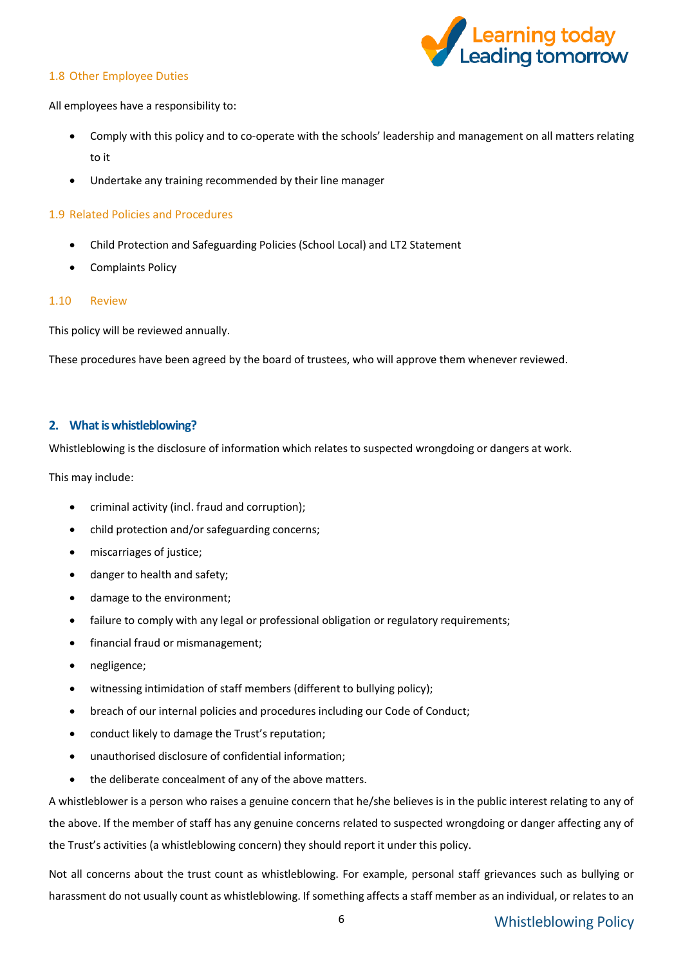# 1.8 Other Employee Duties



All employees have a responsibility to:

- Comply with this policy and to co-operate with the schools' leadership and management on all matters relating to it
- Undertake any training recommended by their line manager

# 1.9 Related Policies and Procedures

- Child Protection and Safeguarding Policies (School Local) and LT2 Statement
- Complaints Policy

# 1.10 Review

This policy will be reviewed annually.

These procedures have been agreed by the board of trustees, who will approve them whenever reviewed.

# <span id="page-5-0"></span>**2. What is whistleblowing?**

Whistleblowing is the disclosure of information which relates to suspected wrongdoing or dangers at work.

This may include:

- criminal activity (incl. fraud and corruption);
- child protection and/or safeguarding concerns;
- miscarriages of justice;
- danger to health and safety;
- damage to the environment;
- failure to comply with any legal or professional obligation or regulatory requirements;
- financial fraud or mismanagement;
- negligence;
- witnessing intimidation of staff members (different to bullying policy);
- breach of our internal policies and procedures including our Code of Conduct;
- conduct likely to damage the Trust's reputation;
- unauthorised disclosure of confidential information;
- the deliberate concealment of any of the above matters.

A whistleblower is a person who raises a genuine concern that he/she believes is in the public interest relating to any of the above. If the member of staff has any genuine concerns related to suspected wrongdoing or danger affecting any of the Trust's activities (a whistleblowing concern) they should report it under this policy.

Not all concerns about the trust count as whistleblowing. For example, personal staff grievances such as bullying or harassment do not usually count as whistleblowing. If something affects a staff member as an individual, or relates to an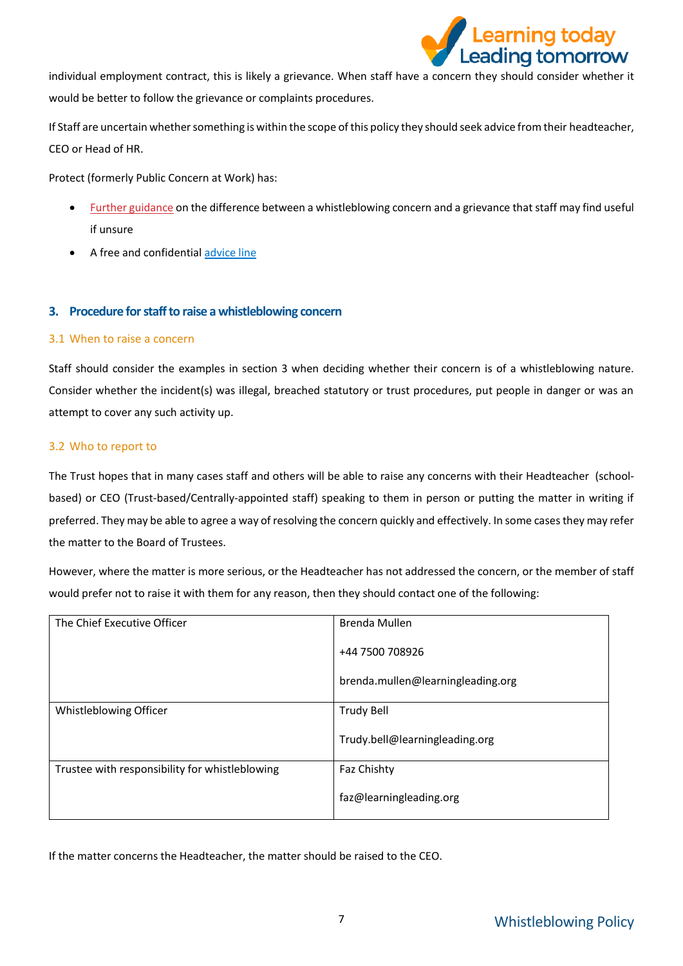

individual employment contract, this is likely a grievance. When staff have a concern they should consider whether it would be better to follow the grievance or complaints procedures.

If Staff are uncertain whether something is within the scope of this policy they should seek advice from their headteacher, CEO or Head of HR.

Protect (formerly Public Concern at Work) has:

- [Further guidance](https://protect-advice.org.uk/what-is-the-difference-between-raising-a-grievance-and-whistleblowing/) on the difference between a whistleblowing concern and a grievance that staff may find useful if unsure
- A free and confidential [advice line](https://www.pcaw.org.uk/advice-line/)

# <span id="page-6-0"></span>**3. Procedure for staff to raise a whistleblowing concern**

# 3.1 When to raise a concern

Staff should consider the examples in section 3 when deciding whether their concern is of a whistleblowing nature. Consider whether the incident(s) was illegal, breached statutory or trust procedures, put people in danger or was an attempt to cover any such activity up.

# 3.2 Who to report to

The Trust hopes that in many cases staff and others will be able to raise any concerns with their Headteacher (schoolbased) or CEO (Trust-based/Centrally-appointed staff) speaking to them in person or putting the matter in writing if preferred. They may be able to agree a way of resolving the concern quickly and effectively. In some cases they may refer the matter to the Board of Trustees.

However, where the matter is more serious, or the Headteacher has not addressed the concern, or the member of staff would prefer not to raise it with them for any reason, then they should contact one of the following:

| The Chief Executive Officer                    | Brenda Mullen                     |
|------------------------------------------------|-----------------------------------|
|                                                | +44 7500 708926                   |
|                                                | brenda.mullen@learningleading.org |
| Whistleblowing Officer                         | <b>Trudy Bell</b>                 |
|                                                | Trudy.bell@learningleading.org    |
| Trustee with responsibility for whistleblowing | Faz Chishty                       |
|                                                | faz@learningleading.org           |

If the matter concerns the Headteacher, the matter should be raised to the CEO.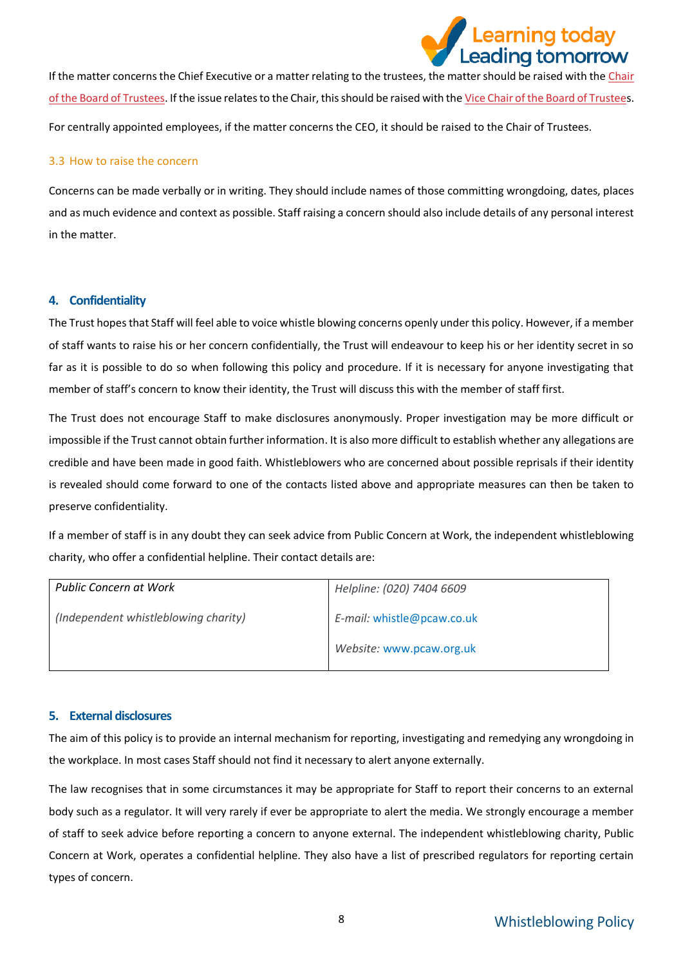

If the matter concerns the Chief Executive or a matter relating to the trustees, the matter should be raised with the Chair [of the Board of Trustees.](mailto:dave@learningleading.org) If the issue relates to the Chair, this should be raised with th[e Vice Chair of the Board of Trustees](mailto:tom@learningleading.org). For centrally appointed employees, if the matter concerns the CEO, it should be raised to the Chair of Trustees.

## 3.3 How to raise the concern

Concerns can be made verbally or in writing. They should include names of those committing wrongdoing, dates, places and as much evidence and context as possible. Staff raising a concern should also include details of any personal interest in the matter.

# <span id="page-7-0"></span>**4. Confidentiality**

The Trust hopes that Staff will feel able to voice whistle blowing concerns openly under this policy. However, if a member of staff wants to raise his or her concern confidentially, the Trust will endeavour to keep his or her identity secret in so far as it is possible to do so when following this policy and procedure. If it is necessary for anyone investigating that member of staff's concern to know their identity, the Trust will discuss this with the member of staff first.

The Trust does not encourage Staff to make disclosures anonymously. Proper investigation may be more difficult or impossible if the Trust cannot obtain further information. It is also more difficult to establish whether any allegations are credible and have been made in good faith. Whistleblowers who are concerned about possible reprisals if their identity is revealed should come forward to one of the contacts listed above and appropriate measures can then be taken to preserve confidentiality.

If a member of staff is in any doubt they can seek advice from Public Concern at Work, the independent whistleblowing charity, who offer a confidential helpline. Their contact details are:

| <b>Public Concern at Work</b>        | Helpline: (020) 7404 6609                              |
|--------------------------------------|--------------------------------------------------------|
| (Independent whistleblowing charity) | E-mail: whistle@pcaw.co.uk<br>Website: www.pcaw.org.uk |
|                                      |                                                        |

### <span id="page-7-1"></span>**5. External disclosures**

The aim of this policy is to provide an internal mechanism for reporting, investigating and remedying any wrongdoing in the workplace. In most cases Staff should not find it necessary to alert anyone externally.

The law recognises that in some circumstances it may be appropriate for Staff to report their concerns to an external body such as a regulator. It will very rarely if ever be appropriate to alert the media. We strongly encourage a member of staff to seek advice before reporting a concern to anyone external. The independent whistleblowing charity, Public Concern at Work, operates a confidential helpline. They also have a list of prescribed regulators for reporting certain types of concern.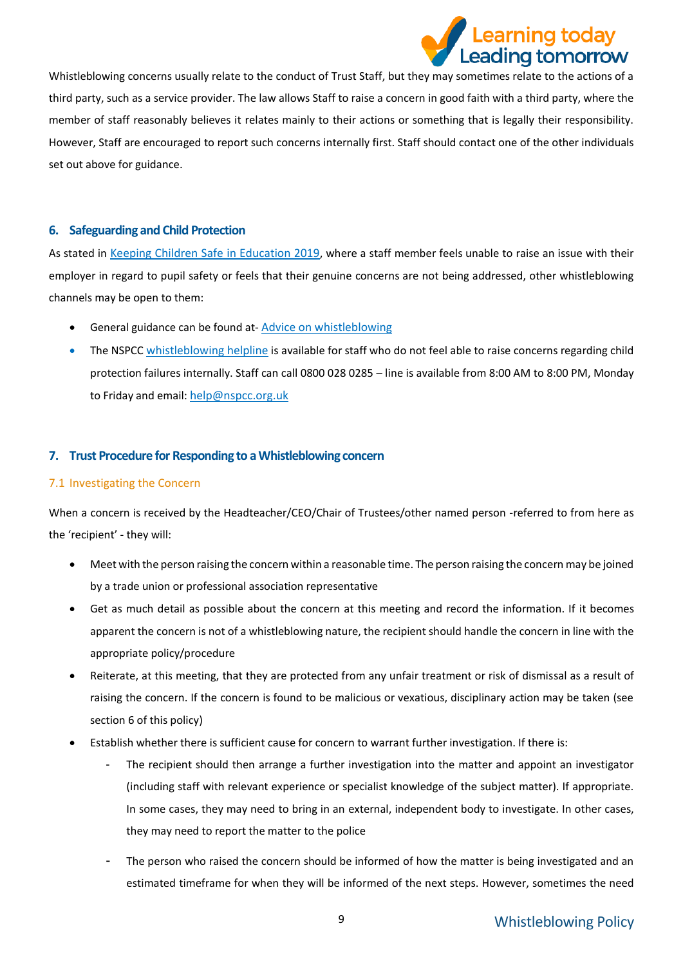

Whistleblowing concerns usually relate to the conduct of Trust Staff, but they may sometimes relate to the actions of a third party, such as a service provider. The law allows Staff to raise a concern in good faith with a third party, where the member of staff reasonably believes it relates mainly to their actions or something that is legally their responsibility. However, Staff are encouraged to report such concerns internally first. Staff should contact one of the other individuals set out above for guidance.

# <span id="page-8-0"></span>**6. Safeguarding and Child Protection**

As stated in [Keeping Children Safe in Education 2019](https://www.gov.uk/government/publications/keeping-children-safe-in-education--2), where a staff member feels unable to raise an issue with their employer in regard to pupil safety or feels that their genuine concerns are not being addressed, other whistleblowing channels may be open to them:

- General guidance can be found at-[Advice on whistleblowing](https://www.gov.uk/whistleblowing)
- The NSPCC [whistleblowing helpline](https://www.gov.uk/government/news/home-office-launches-child-abuse-whistleblowing-helpline) is available for staff who do not feel able to raise concerns regarding child protection failures internally. Staff can call 0800 028 0285 – line is available from 8:00 AM to 8:00 PM, Monday to Friday and email: [help@nspcc.org.uk](mailto:help@nspcc.org.uk)

# <span id="page-8-1"></span>**7. Trust Procedure for Responding to a Whistleblowing concern**

# 7.1 Investigating the Concern

When a concern is received by the Headteacher/CEO/Chair of Trustees/other named person -referred to from here as the 'recipient' - they will:

- Meet with the person raising the concern within a reasonable time. The person raising the concern may be joined by a trade union or professional association representative
- Get as much detail as possible about the concern at this meeting and record the information. If it becomes apparent the concern is not of a whistleblowing nature, the recipient should handle the concern in line with the appropriate policy/procedure
- Reiterate, at this meeting, that they are protected from any unfair treatment or risk of dismissal as a result of raising the concern. If the concern is found to be malicious or vexatious, disciplinary action may be taken (see section 6 of this policy)
- Establish whether there is sufficient cause for concern to warrant further investigation. If there is:
	- The recipient should then arrange a further investigation into the matter and appoint an investigator (including staff with relevant experience or specialist knowledge of the subject matter). If appropriate. In some cases, they may need to bring in an external, independent body to investigate. In other cases, they may need to report the matter to the police
	- The person who raised the concern should be informed of how the matter is being investigated and an estimated timeframe for when they will be informed of the next steps. However, sometimes the need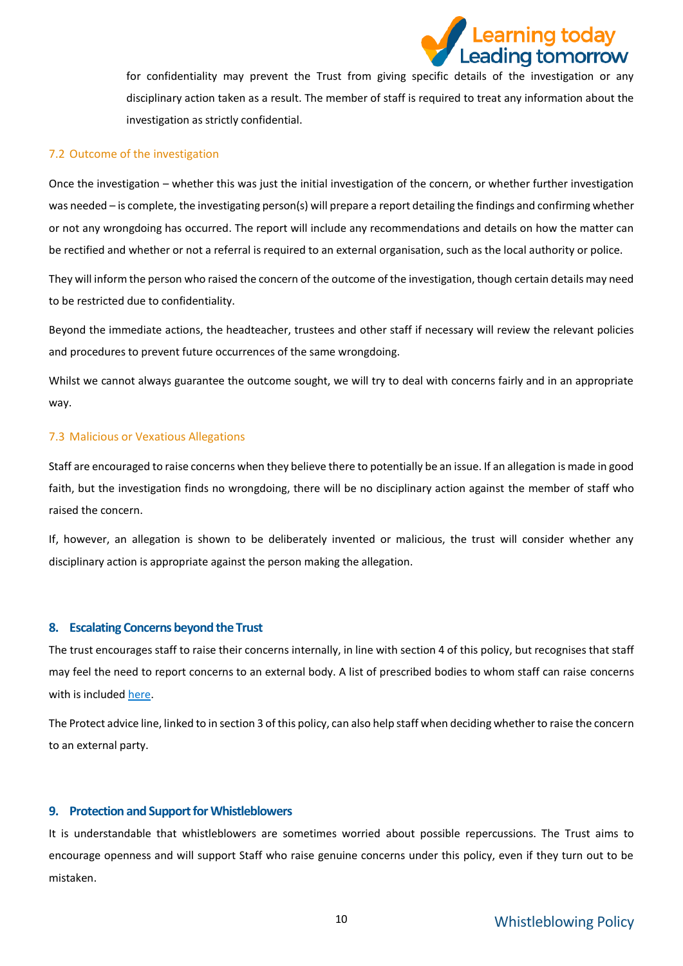

for confidentiality may prevent the Trust from giving specific details of the investigation or any disciplinary action taken as a result. The member of staff is required to treat any information about the investigation as strictly confidential.

### 7.2 Outcome of the investigation

Once the investigation – whether this was just the initial investigation of the concern, or whether further investigation was needed – is complete, the investigating person(s) will prepare a report detailing the findings and confirming whether or not any wrongdoing has occurred. The report will include any recommendations and details on how the matter can be rectified and whether or not a referral is required to an external organisation, such as the local authority or police.

They will inform the person who raised the concern of the outcome of the investigation, though certain details may need to be restricted due to confidentiality.

Beyond the immediate actions, the headteacher, trustees and other staff if necessary will review the relevant policies and procedures to prevent future occurrences of the same wrongdoing.

Whilst we cannot always guarantee the outcome sought, we will try to deal with concerns fairly and in an appropriate way.

### 7.3 Malicious or Vexatious Allegations

Staff are encouraged to raise concerns when they believe there to potentially be an issue. If an allegation is made in good faith, but the investigation finds no wrongdoing, there will be no disciplinary action against the member of staff who raised the concern.

If, however, an allegation is shown to be deliberately invented or malicious, the trust will consider whether any disciplinary action is appropriate against the person making the allegation.

### <span id="page-9-0"></span>**8. Escalating Concerns beyond the Trust**

The trust encourages staff to raise their concerns internally, in line with section 4 of this policy, but recognises that staff may feel the need to report concerns to an external body. A list of prescribed bodies to whom staff can raise concerns with is include[d here.](https://www.gov.uk/government/publications/blowing-the-whistle-list-of-prescribed-people-and-bodies--2/whistleblowing-list-of-prescribed-people-and-bodies#education)

The Protect advice line, linked to in section 3 of this policy, can also help staff when deciding whether to raise the concern to an external party.

### <span id="page-9-1"></span>**9. Protection and Support for Whistleblowers**

It is understandable that whistleblowers are sometimes worried about possible repercussions. The Trust aims to encourage openness and will support Staff who raise genuine concerns under this policy, even if they turn out to be mistaken.